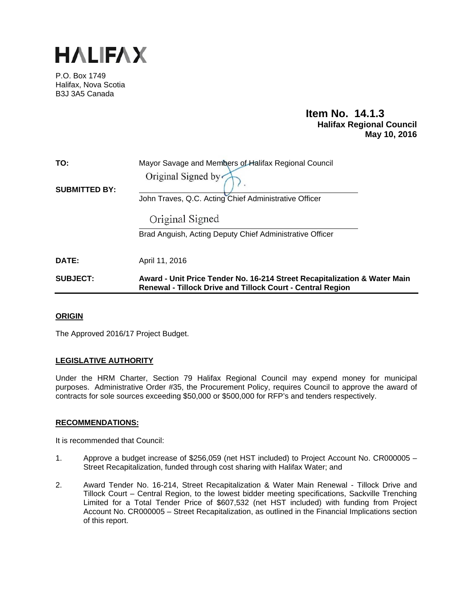

P.O. Box 1749 Halifax, Nova Scotia B3J 3A5 Canada

# **Item No. 14.1.3 Halifax Regional Council May 10, 2016**

| TO:                  | Mayor Savage and Members of Halifax Regional Council     |
|----------------------|----------------------------------------------------------|
|                      | Original Signed by                                       |
| <b>SUBMITTED BY:</b> | John Traves, Q.C. Acting Chief Administrative Officer    |
|                      | Original Signed                                          |
|                      | Brad Anguish, Acting Deputy Chief Administrative Officer |
| <b>DATE:</b>         | April 11, 2016                                           |
|                      |                                                          |

# **SUBJECT: Award - Unit Price Tender No. 16-214 Street Recapitalization & Water Main Renewal - Tillock Drive and Tillock Court - Central Region**

## **ORIGIN**

The Approved 2016/17 Project Budget.

## **LEGISLATIVE AUTHORITY**

Under the HRM Charter, Section 79 Halifax Regional Council may expend money for municipal purposes. Administrative Order #35, the Procurement Policy, requires Council to approve the award of contracts for sole sources exceeding \$50,000 or \$500,000 for RFP's and tenders respectively.

#### **RECOMMENDATIONS:**

It is recommended that Council:

- 1. Approve a budget increase of \$256,059 (net HST included) to Project Account No. CR000005 Street Recapitalization, funded through cost sharing with Halifax Water; and
- 2. Award Tender No. 16-214, Street Recapitalization & Water Main Renewal Tillock Drive and Tillock Court – Central Region, to the lowest bidder meeting specifications, Sackville Trenching Limited for a Total Tender Price of \$607,532 (net HST included) with funding from Project Account No. CR000005 – Street Recapitalization, as outlined in the Financial Implications section of this report.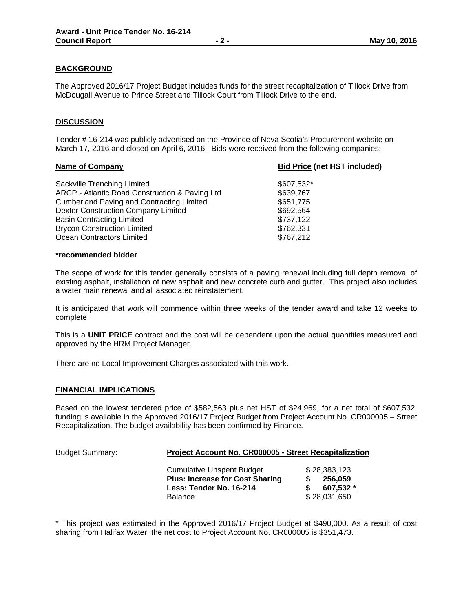#### **BACKGROUND**

The Approved 2016/17 Project Budget includes funds for the street recapitalization of Tillock Drive from McDougall Avenue to Prince Street and Tillock Court from Tillock Drive to the end.

#### **DISCUSSION**

Tender # 16-214 was publicly advertised on the Province of Nova Scotia's Procurement website on March 17, 2016 and closed on April 6, 2016. Bids were received from the following companies:

| <b>Bid Price (net HST included)</b> |  |
|-------------------------------------|--|
| \$607,532*                          |  |
| \$639,767                           |  |
| \$651,775                           |  |
| \$692,564                           |  |
| \$737,122                           |  |
| \$762,331                           |  |
| \$767,212                           |  |
|                                     |  |

#### **\*recommended bidder**

The scope of work for this tender generally consists of a paving renewal including full depth removal of existing asphalt, installation of new asphalt and new concrete curb and gutter. This project also includes a water main renewal and all associated reinstatement.

It is anticipated that work will commence within three weeks of the tender award and take 12 weeks to complete.

This is a **UNIT PRICE** contract and the cost will be dependent upon the actual quantities measured and approved by the HRM Project Manager.

There are no Local Improvement Charges associated with this work.

#### **FINANCIAL IMPLICATIONS**

Based on the lowest tendered price of \$582,563 plus net HST of \$24,969, for a net total of \$607,532, funding is available in the Approved 2016/17 Project Budget from Project Account No. CR000005 – Street Recapitalization. The budget availability has been confirmed by Finance.

| <b>Budget Summary:</b> | Project Account No. CR000005 - Street Recapitalization                                                                  |                                                      |  |
|------------------------|-------------------------------------------------------------------------------------------------------------------------|------------------------------------------------------|--|
|                        | <b>Cumulative Unspent Budget</b><br><b>Plus: Increase for Cost Sharing</b><br>Less: Tender No. 16-214<br><b>Balance</b> | \$28,383,123<br>256.059<br>607,532 *<br>\$28,031,650 |  |

\* This project was estimated in the Approved 2016/17 Project Budget at \$490,000. As a result of cost sharing from Halifax Water, the net cost to Project Account No. CR000005 is \$351,473.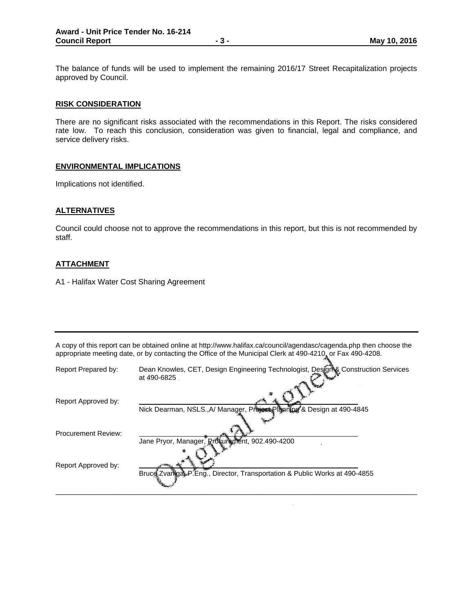The balance of funds will be used to implement the remaining 2016/17 Street Recapitalization projects approved by Council.

#### **RISK CONSIDERATION**

There are no significant risks associated with the recommendations in this Report. The risks considered rate low. To reach this conclusion, consideration was given to financial, legal and compliance, and service delivery risks.

#### **ENVIRONMENTAL IMPLICATIONS**

Implications not identified.

#### **ALTERNATIVES**

Council could choose not to approve the recommendations in this report, but this is not recommended by staff.

#### **ATTACHMENT**

A1 - Halifax Water Cost Sharing Agreement

A copy of this report can be obtained online at http://www.halifax.ca/council/agendasc/cagenda.php then choose the appropriate meeting date, or by contacting the Office of the Municipal Clerk at 490-4210, or Fax 490-4208.

| Report Prepared by:        | Dean Knowles, CET, Design Engineering Technologist, Design& Construction Services<br>at 490-6825 |
|----------------------------|--------------------------------------------------------------------------------------------------|
| Report Approved by:        | Nick Dearman, NSLS., A/ Manager, Present Planning & Design at 490-4845                           |
| <b>Procurement Review:</b> | Jane Pryor, Manager, Rrogure ment, 902.490-4200                                                  |
| Report Approved by:        | Bruce Zvanga P.Eng., Director, Transportation & Public Works at 490-4855                         |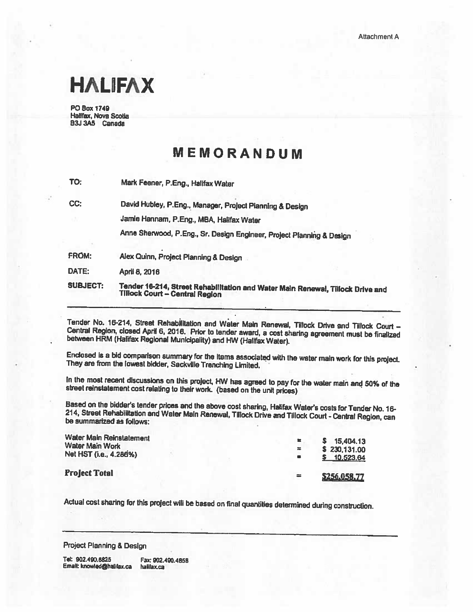# **HALIFAX**

**PO Box 1749** Hallfax, Nova Scotia B3J 3A5 Canada

# MEMORANDUM

TO: Mark Feener, P.Eng., Halifax Water

CC:

David Hubley, P.Eng., Manager, Project Pianning & Design

Jamie Hannam, P.Eng., MBA, Halifax Water

Anne Sherwood, P.Eng., Sr. Design Engineer, Project Planning & Design

FROM: Alex Quinn, Project Planning & Design

DATE: April 8, 2016

Tender 16-214, Street Rehabilitation and Water Main Renewal, Tillock Drive and **SUBJECT: Tillock Court - Central Region** 

Tender No. 16-214, Street Rehabilitation and Water Main Renewal, Tillock Drive and Tillock Court -Central Region, closed April 6, 2016. Prior to tender award, a cost sharing agreement must be finalized between HRM (Halifax Regional Municipality) and HW (Halifax Water).

Enclosed is a bid comparison summary for the items associated with the water main work for this project. They are from the lowest bidder, Sackville Trenching Limited,

In the most recent discussions on this project, HW has agreed to pay for the water main and 50% of the street reinstatement cost relating to their work. (based on the unit prices)

Based on the bidder's tender prices and the above cost sharing, Halifax Water's costs for Tender No. 16-214, Street Rehabilitation and Water Main Renewal, Tillock Drive and Tillock Court - Central Region, can be summarized as follows:

| Water Main Reinstatement<br>Water Main Work<br>Net HST (i.e., 4.286%) | 놓        | 15,404.13<br>s.<br>\$230,131.00 |
|-----------------------------------------------------------------------|----------|---------------------------------|
|                                                                       | 8        | \$10,523,64                     |
| <b>Project Total</b>                                                  | $\equiv$ | \$256,058,77                    |

Actual cost sharing for this project will be based on final quantities determined during construction.

Project Planning & Design

Tel: 902.490.6825 Fax: 902.490.4858 Email: knowled@halifax.ca halifax.ca